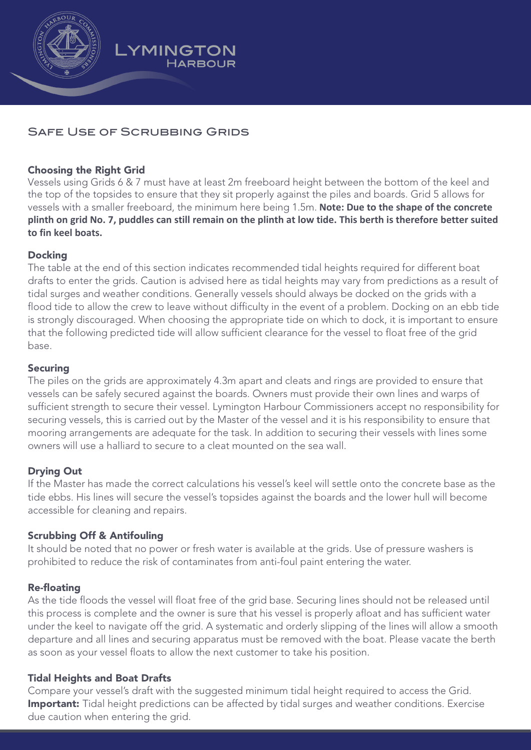

# SAFE USE OF SCRUBBING GRIDS

**YMINGTON** 

**HARBOUR** 

### Choosing the Right Grid

Vessels using Grids 6 & 7 must have at least 2m freeboard height between the bottom of the keel and the top of the topsides to ensure that they sit properly against the piles and boards. Grid 5 allows for vessels with a smaller freeboard, the minimum here being 1.5m. **Note: Due to the shape of the concrete plinth on grid No. 7, puddles can still remain on the plinth at low tide. This berth is therefore better suited to fin keel boats.**

## **Docking**

The table at the end of this section indicates recommended tidal heights required for different boat drafts to enter the grids. Caution is advised here as tidal heights may vary from predictions as a result of tidal surges and weather conditions. Generally vessels should always be docked on the grids with a flood tide to allow the crew to leave without difficulty in the event of a problem. Docking on an ebb tide is strongly discouraged. When choosing the appropriate tide on which to dock, it is important to ensure that the following predicted tide will allow sufficient clearance for the vessel to float free of the grid base.

#### **Securing**

The piles on the grids are approximately 4.3m apart and cleats and rings are provided to ensure that vessels can be safely secured against the boards. Owners must provide their own lines and warps of sufficient strength to secure their vessel. Lymington Harbour Commissioners accept no responsibility for securing vessels, this is carried out by the Master of the vessel and it is his responsibility to ensure that mooring arrangements are adequate for the task. In addition to securing their vessels with lines some owners will use a halliard to secure to a cleat mounted on the sea wall.

# Drying Out

If the Master has made the correct calculations his vessel's keel will settle onto the concrete base as the tide ebbs. His lines will secure the vessel's topsides against the boards and the lower hull will become accessible for cleaning and repairs.

#### Scrubbing Off & Antifouling

It should be noted that no power or fresh water is available at the grids. Use of pressure washers is prohibited to reduce the risk of contaminates from anti-foul paint entering the water.

#### Re-floating

As the tide floods the vessel will float free of the grid base. Securing lines should not be released until this process is complete and the owner is sure that his vessel is properly afloat and has sufficient water under the keel to navigate off the grid. A systematic and orderly slipping of the lines will allow a smooth departure and all lines and securing apparatus must be removed with the boat. Please vacate the berth as soon as your vessel floats to allow the next customer to take his position.

#### Tidal Heights and Boat Drafts

Compare your vessel's draft with the suggested minimum tidal height required to access the Grid. Important: Tidal height predictions can be affected by tidal surges and weather conditions. Exercise due caution when entering the grid.